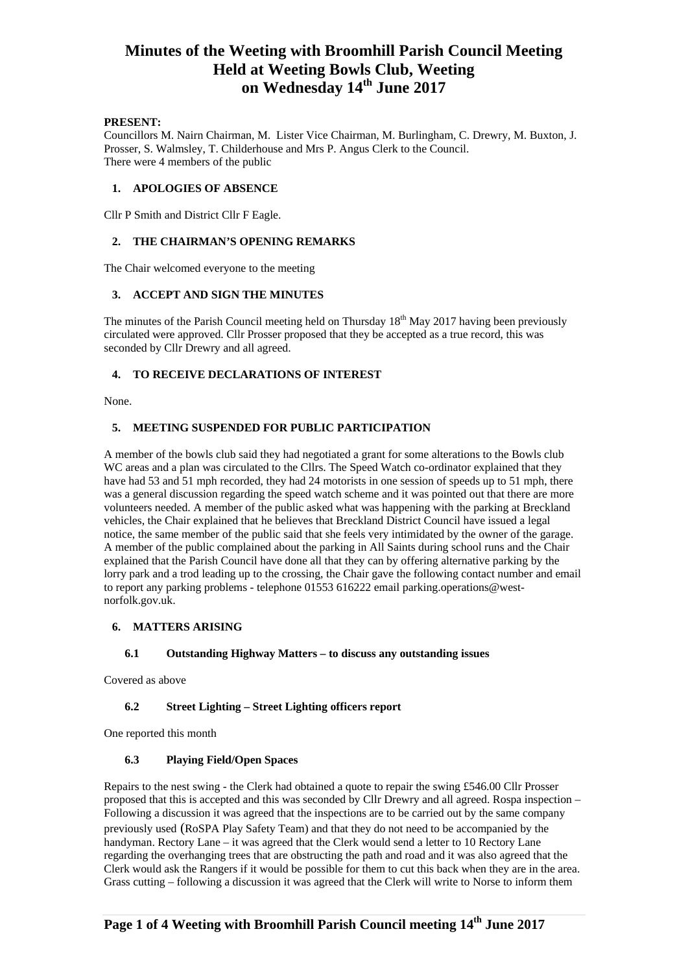# **Minutes of the Weeting with Broomhill Parish Council Meeting Held at Weeting Bowls Club, Weeting**  on Wednesday 14<sup>th</sup> June 2017

#### **PRESENT:**

Councillors M. Nairn Chairman, M. Lister Vice Chairman, M. Burlingham, C. Drewry, M. Buxton, J. Prosser, S. Walmsley, T. Childerhouse and Mrs P. Angus Clerk to the Council. There were 4 members of the public

#### **1. APOLOGIES OF ABSENCE**

Cllr P Smith and District Cllr F Eagle.

#### **2. THE CHAIRMAN'S OPENING REMARKS**

The Chair welcomed everyone to the meeting

#### **3. ACCEPT AND SIGN THE MINUTES**

The minutes of the Parish Council meeting held on Thursday  $18<sup>th</sup>$  May 2017 having been previously circulated were approved. Cllr Prosser proposed that they be accepted as a true record, this was seconded by Cllr Drewry and all agreed.

## **4. TO RECEIVE DECLARATIONS OF INTEREST**

None.

## **5. MEETING SUSPENDED FOR PUBLIC PARTICIPATION**

A member of the bowls club said they had negotiated a grant for some alterations to the Bowls club WC areas and a plan was circulated to the Cllrs. The Speed Watch co-ordinator explained that they have had 53 and 51 mph recorded, they had 24 motorists in one session of speeds up to 51 mph, there was a general discussion regarding the speed watch scheme and it was pointed out that there are more volunteers needed. A member of the public asked what was happening with the parking at Breckland vehicles, the Chair explained that he believes that Breckland District Council have issued a legal notice, the same member of the public said that she feels very intimidated by the owner of the garage. A member of the public complained about the parking in All Saints during school runs and the Chair explained that the Parish Council have done all that they can by offering alternative parking by the lorry park and a trod leading up to the crossing, the Chair gave the following contact number and email to report any parking problems - telephone 01553 616222 email parking.operations@westnorfolk.gov.uk.

## **6. MATTERS ARISING**

#### **6.1 Outstanding Highway Matters – to discuss any outstanding issues**

Covered as above

#### **6.2 Street Lighting – Street Lighting officers report**

One reported this month

#### **6.3 Playing Field/Open Spaces**

Repairs to the nest swing - the Clerk had obtained a quote to repair the swing £546.00 Cllr Prosser proposed that this is accepted and this was seconded by Cllr Drewry and all agreed. Rospa inspection – Following a discussion it was agreed that the inspections are to be carried out by the same company previously used (RoSPA Play Safety Team) and that they do not need to be accompanied by the handyman. Rectory Lane – it was agreed that the Clerk would send a letter to 10 Rectory Lane regarding the overhanging trees that are obstructing the path and road and it was also agreed that the Clerk would ask the Rangers if it would be possible for them to cut this back when they are in the area. Grass cutting – following a discussion it was agreed that the Clerk will write to Norse to inform them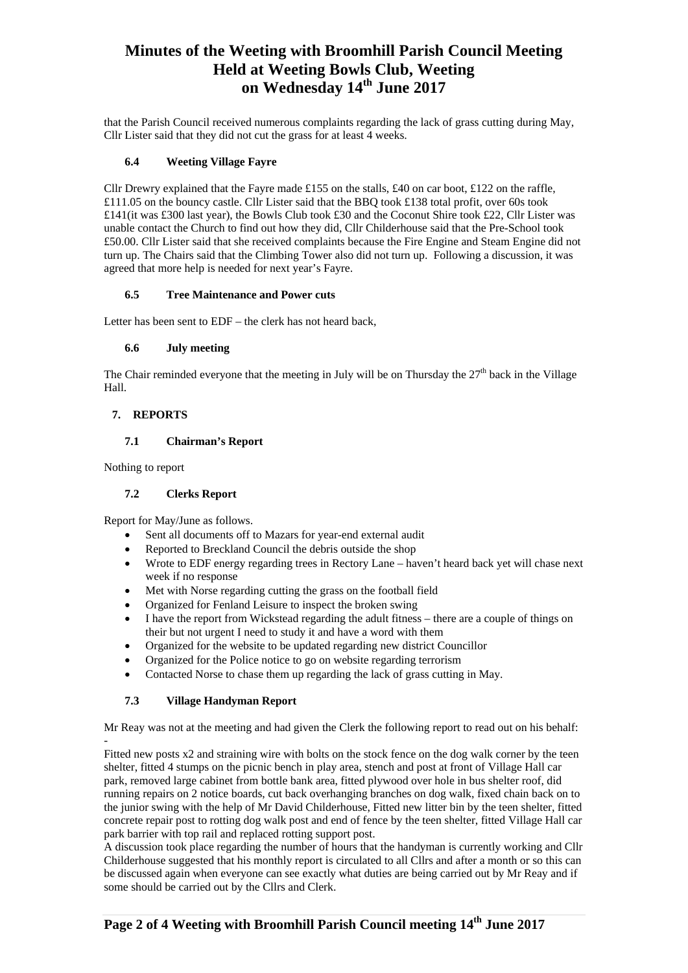# **Minutes of the Weeting with Broomhill Parish Council Meeting Held at Weeting Bowls Club, Weeting on Wednesday 14th June 2017**

that the Parish Council received numerous complaints regarding the lack of grass cutting during May, Cllr Lister said that they did not cut the grass for at least 4 weeks.

## **6.4 Weeting Village Fayre**

Cllr Drewry explained that the Fayre made £155 on the stalls, £40 on car boot, £122 on the raffle, £111.05 on the bouncy castle. Cllr Lister said that the BBQ took £138 total profit, over 60s took £141(it was £300 last year), the Bowls Club took £30 and the Coconut Shire took £22, Cllr Lister was unable contact the Church to find out how they did, Cllr Childerhouse said that the Pre-School took £50.00. Cllr Lister said that she received complaints because the Fire Engine and Steam Engine did not turn up. The Chairs said that the Climbing Tower also did not turn up. Following a discussion, it was agreed that more help is needed for next year's Fayre.

#### **6.5 Tree Maintenance and Power cuts**

Letter has been sent to EDF – the clerk has not heard back,

## **6.6 July meeting**

The Chair reminded everyone that the meeting in July will be on Thursday the  $27<sup>th</sup>$  back in the Village Hall.

# **7. REPORTS**

## **7.1 Chairman's Report**

Nothing to report

-

#### **7.2 Clerks Report**

Report for May/June as follows.

- Sent all documents off to Mazars for year-end external audit
- Reported to Breckland Council the debris outside the shop
- Wrote to EDF energy regarding trees in Rectory Lane haven't heard back yet will chase next week if no response
- Met with Norse regarding cutting the grass on the football field
- Organized for Fenland Leisure to inspect the broken swing
- I have the report from Wickstead regarding the adult fitness there are a couple of things on their but not urgent I need to study it and have a word with them
- Organized for the website to be updated regarding new district Councillor
- Organized for the Police notice to go on website regarding terrorism
- Contacted Norse to chase them up regarding the lack of grass cutting in May.

# **7.3 Village Handyman Report**

Mr Reay was not at the meeting and had given the Clerk the following report to read out on his behalf:

Fitted new posts x2 and straining wire with bolts on the stock fence on the dog walk corner by the teen shelter, fitted 4 stumps on the picnic bench in play area, stench and post at front of Village Hall car park, removed large cabinet from bottle bank area, fitted plywood over hole in bus shelter roof, did running repairs on 2 notice boards, cut back overhanging branches on dog walk, fixed chain back on to the junior swing with the help of Mr David Childerhouse, Fitted new litter bin by the teen shelter, fitted concrete repair post to rotting dog walk post and end of fence by the teen shelter, fitted Village Hall car park barrier with top rail and replaced rotting support post.

A discussion took place regarding the number of hours that the handyman is currently working and Cllr Childerhouse suggested that his monthly report is circulated to all Cllrs and after a month or so this can be discussed again when everyone can see exactly what duties are being carried out by Mr Reay and if some should be carried out by the Cllrs and Clerk.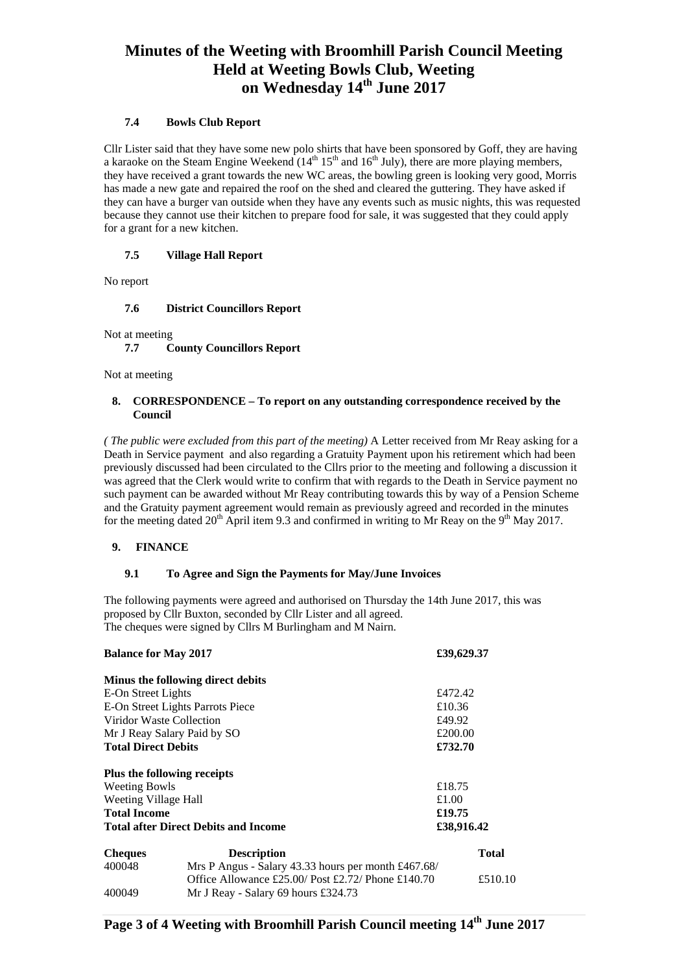# **Minutes of the Weeting with Broomhill Parish Council Meeting Held at Weeting Bowls Club, Weeting**  on Wednesday 14<sup>th</sup> June 2017

## **7.4 Bowls Club Report**

Cllr Lister said that they have some new polo shirts that have been sponsored by Goff, they are having a karaoke on the Steam Engine Weekend  $(14<sup>th</sup> 15<sup>th</sup>$  and  $16<sup>th</sup>$  July), there are more playing members, they have received a grant towards the new WC areas, the bowling green is looking very good, Morris has made a new gate and repaired the roof on the shed and cleared the guttering. They have asked if they can have a burger van outside when they have any events such as music nights, this was requested because they cannot use their kitchen to prepare food for sale, it was suggested that they could apply for a grant for a new kitchen.

# **7.5 Village Hall Report**

No report

## **7.6 District Councillors Report**

Not at meeting

# **7.7 County Councillors Report**

Not at meeting

#### **8. CORRESPONDENCE – To report on any outstanding correspondence received by the Council**

*( The public were excluded from this part of the meeting)* A Letter received from Mr Reay asking for a Death in Service payment and also regarding a Gratuity Payment upon his retirement which had been previously discussed had been circulated to the Cllrs prior to the meeting and following a discussion it was agreed that the Clerk would write to confirm that with regards to the Death in Service payment no such payment can be awarded without Mr Reay contributing towards this by way of a Pension Scheme and the Gratuity payment agreement would remain as previously agreed and recorded in the minutes for the meeting dated  $20^{th}$  April item 9.3 and confirmed in writing to Mr Reay on the 9<sup>th</sup> May 2017.

# **9. FINANCE**

# **9.1 To Agree and Sign the Payments for May/June Invoices**

The following payments were agreed and authorised on Thursday the 14th June 2017, this was proposed by Cllr Buxton, seconded by Cllr Lister and all agreed. The cheques were signed by Cllrs M Burlingham and M Nairn.

| <b>Balance for May 2017</b>                 |                                                                    | £39,629.37   |
|---------------------------------------------|--------------------------------------------------------------------|--------------|
|                                             | Minus the following direct debits                                  |              |
| E-On Street Lights                          |                                                                    | £472.42      |
| E-On Street Lights Parrots Piece            |                                                                    | £10.36       |
| Viridor Waste Collection                    |                                                                    | £49.92       |
| Mr J Reay Salary Paid by SO                 |                                                                    | £200.00      |
| <b>Total Direct Debits</b>                  |                                                                    | £732.70      |
|                                             | Plus the following receipts                                        |              |
| <b>Weeting Bowls</b>                        |                                                                    | £18.75       |
| Weeting Village Hall                        |                                                                    | £1.00        |
| <b>Total Income</b>                         |                                                                    | £19.75       |
| <b>Total after Direct Debits and Income</b> |                                                                    | £38,916.42   |
| <b>Cheques</b>                              | <b>Description</b>                                                 | <b>Total</b> |
| 400048                                      | Mrs P Angus - Salary 43.33 hours per month $\text{\pounds}467.68/$ |              |
|                                             | Office Allowance £25.00/ Post £2.72/ Phone £140.70                 | £510.10      |
| 400049                                      | Mr J Reay - Salary 69 hours £324.73                                |              |